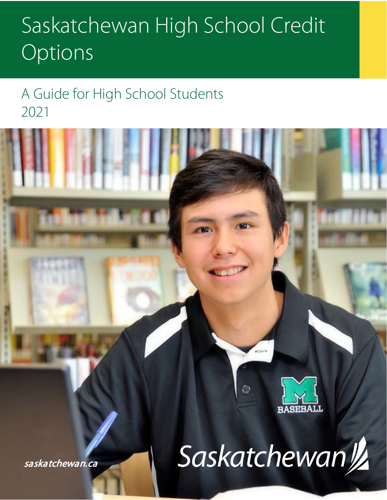# Saskatchewan High School Credit Options

# A Guide for High School Students 2021



saskatchewan.ca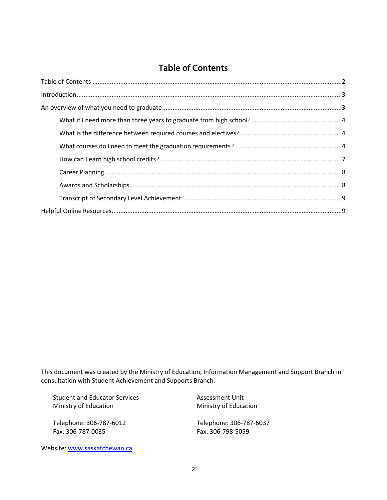# Table of Contents

<span id="page-1-0"></span>

This document was created by the Ministry of Education, Information Management and Support Branch in consultation with Student Achievement and Supports Branch.

Student and Educator Services Ministry of Education

Telephone: 306-787-6012 Fax: 306-787-0035

Assessment Unit Ministry of Education

<span id="page-1-1"></span>Telephone: 306-787-6037 Fax: 306-798-5059

Website[: www.saskatchewan.ca](http://www.saskatchewan.ca/)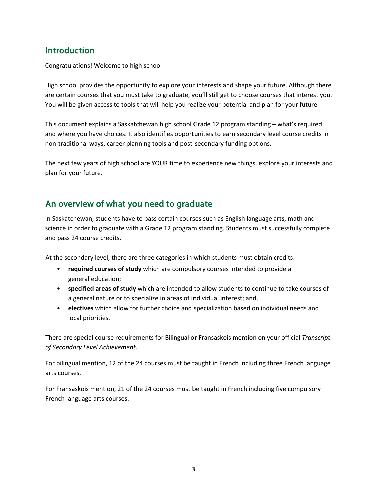### Introduction

Congratulations! Welcome to high school!

High school provides the opportunity to explore your interests and shape your future. Although there are certain courses that you must take to graduate, you'll still get to choose courses that interest you. You will be given access to tools that will help you realize your potential and plan for your future.

This document explains a Saskatchewan high school Grade 12 program standing – what's required and where you have choices. It also identifies opportunities to earn secondary level course credits in non-traditional ways, career planning tools and post-secondary funding options.

The next few years of high school are YOUR time to experience new things, explore your interests and plan for your future.

# <span id="page-2-0"></span>An overview of what you need to graduate

In Saskatchewan, students have to pass certain courses such as English language arts, math and science in order to graduate with a Grade 12 program standing. Students must successfully complete and pass 24 course credits.

At the secondary level, there are three categories in which students must obtain credits:

- **required courses of study** which are compulsory courses intended to provide a general education;
- **specified areas of study** which are intended to allow students to continue to take courses of a general nature or to specialize in areas of individual interest; and,
- **electives** which allow for further choice and specialization based on individual needs and local priorities.

There are special course requirements for Bilingual or Fransaskois mention on your official *Transcript of Secondary Level Achievement*.

For bilingual mention, 12 of the 24 courses must be taught in French including three French language arts courses.

For Fransaskois mention, 21 of the 24 courses must be taught in French including five compulsory French language arts courses.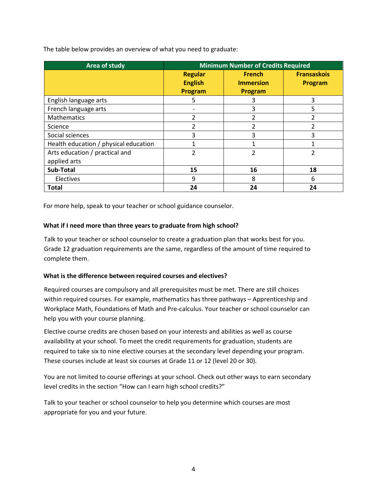The table below provides an overview of what you need to graduate:

| Area of study                         | <b>Minimum Number of Credits Required</b>   |                                              |                               |
|---------------------------------------|---------------------------------------------|----------------------------------------------|-------------------------------|
|                                       | <b>Regular</b><br><b>English</b><br>Program | <b>French</b><br><b>Immersion</b><br>Program | <b>Fransaskois</b><br>Program |
| English language arts                 | 5                                           | 3                                            | 3                             |
| French language arts                  |                                             | 3                                            | 5                             |
| Mathematics                           | 2                                           | 2                                            |                               |
| Science                               |                                             |                                              |                               |
| Social sciences                       | 3                                           | 3                                            | 3                             |
| Health education / physical education |                                             |                                              |                               |
| Arts education / practical and        | 2                                           | $\mathcal{P}$                                | 2                             |
| applied arts                          |                                             |                                              |                               |
| <b>Sub-Total</b>                      | 15                                          | 16                                           | 18                            |
| Electives                             | 9                                           | 8                                            | 6                             |
| <b>Total</b>                          | 24                                          | 24                                           | 24                            |

For more help, speak to your teacher or school guidance counselor.

#### <span id="page-3-0"></span>**What if I need more than three years to graduate from high school?**

Talk to your teacher or school counselor to create a graduation plan that works best for you. Grade 12 graduation requirements are the same, regardless of the amount of time required to complete them.

#### <span id="page-3-1"></span>**What is the difference between required courses and electives?**

Required courses are compulsory and all prerequisites must be met. There are still choices within required courses. For example, mathematics has three pathways – Apprenticeship and Workplace Math, Foundations of Math and Pre-calculus. Your teacher or school counselor can help you with your course planning.

Elective course credits are chosen based on your interests and abilities as well as course availability at your school. To meet the credit requirements for graduation, students are required to take six to nine elective courses at the secondary level depending your program. These courses include at least six courses at Grade 11 or 12 (level 20 or 30).

You are not limited to course offerings at your school. Check out other ways to earn secondary level credits in the section "How can I earn high school credits?"

<span id="page-3-2"></span>Talk to your teacher or school counselor to help you determine which courses are most appropriate for you and your future.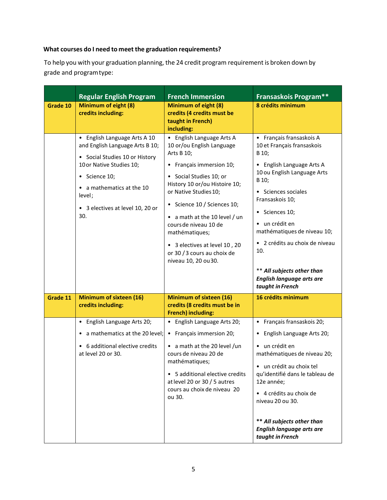#### **What courses do I need to meet the graduation requirements?**

To help you with your graduation planning, the 24 credit program requirement is broken down by grade and programtype:

|          | <b>Regular English Program</b>                                                                                                                                                                                                   | <b>French Immersion</b>                                                                                                                                                                                                                                                                                                                                                                  | <b>Fransaskois Program**</b>                                                                                                                                                                                                                                                                                                                                                     |
|----------|----------------------------------------------------------------------------------------------------------------------------------------------------------------------------------------------------------------------------------|------------------------------------------------------------------------------------------------------------------------------------------------------------------------------------------------------------------------------------------------------------------------------------------------------------------------------------------------------------------------------------------|----------------------------------------------------------------------------------------------------------------------------------------------------------------------------------------------------------------------------------------------------------------------------------------------------------------------------------------------------------------------------------|
| Grade 10 | Minimum of eight (8)<br>credits including:                                                                                                                                                                                       | Minimum of eight (8)<br>credits (4 credits must be<br>taught in French)<br>including:                                                                                                                                                                                                                                                                                                    | 8 crédits minimum                                                                                                                                                                                                                                                                                                                                                                |
|          | • English Language Arts A 10<br>and English Language Arts B 10;<br>• Social Studies 10 or History<br>10 or Native Studies 10;<br>• Science 10;<br>• a mathematics at the 10<br>level;<br>• 3 electives at level 10, 20 or<br>30. | • English Language Arts A<br>10 or/ou English Language<br>Arts B 10;<br>• Français immersion 10;<br>• Social Studies 10; or<br>History 10 or/ou Histoire 10;<br>or Native Studies 10;<br>• Science 10 / Sciences 10;<br>• a math at the 10 level / un<br>cours de niveau 10 de<br>mathématiques;<br>• 3 electives at level 10, 20<br>or 30 / 3 cours au choix de<br>niveau 10, 20 ou 30. | • Français fransaskois A<br>10 et Français fransaskois<br>B 10;<br>• English Language Arts A<br>10 ou English Language Arts<br>B 10;<br>• Sciences sociales<br>Fransaskois 10;<br>• Sciences 10;<br>• un crédit en<br>mathématiques de niveau 10;<br>• 2 crédits au choix de niveau<br>10.<br>** All subjects other than<br><b>English language arts are</b><br>taught in French |
| Grade 11 | <b>Minimum of sixteen (16)</b><br>credits including:                                                                                                                                                                             | <b>Minimum of sixteen (16)</b><br>credits (8 credits must be in<br><b>French) including:</b>                                                                                                                                                                                                                                                                                             | 16 crédits minimum                                                                                                                                                                                                                                                                                                                                                               |
|          | • English Language Arts 20;<br>• a mathematics at the 20 level;<br>• 6 additional elective credits<br>at level 20 or 30.                                                                                                         | • English Language Arts 20;<br>• Français immersion 20;<br>• a math at the 20 level /un<br>cours de niveau 20 de<br>mathématiques;<br>• 5 additional elective credits<br>at level 20 or 30 / 5 autres<br>cours au choix de niveau 20<br>ou 30.                                                                                                                                           | Français fransaskois 20;<br>$\bullet$<br>English Language Arts 20;<br>$\bullet$<br>• un crédit en<br>mathématiques de niveau 20;<br>un crédit au choix tel<br>$\bullet$<br>qu'identifié dans le tableau de<br>12e année;<br>• 4 crédits au choix de<br>niveau 20 ou 30.<br>** All subjects other than<br><b>English language arts are</b><br>taught in French                    |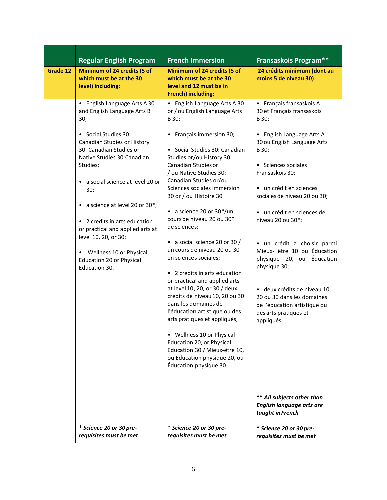|          | <b>Regular English Program</b>                                                                                                                                                                                                                                                                                                                                                                                                                               | <b>French Immersion</b>                                                                                                                                                                                                                                                                                                                                                                                                                                                                                                                                                                                                                                                                                                                                                                                                                                                 | <b>Fransaskois Program**</b>                                                                                                                                                                                                                                                                                                                                                                                                                                                                                                                                               |
|----------|--------------------------------------------------------------------------------------------------------------------------------------------------------------------------------------------------------------------------------------------------------------------------------------------------------------------------------------------------------------------------------------------------------------------------------------------------------------|-------------------------------------------------------------------------------------------------------------------------------------------------------------------------------------------------------------------------------------------------------------------------------------------------------------------------------------------------------------------------------------------------------------------------------------------------------------------------------------------------------------------------------------------------------------------------------------------------------------------------------------------------------------------------------------------------------------------------------------------------------------------------------------------------------------------------------------------------------------------------|----------------------------------------------------------------------------------------------------------------------------------------------------------------------------------------------------------------------------------------------------------------------------------------------------------------------------------------------------------------------------------------------------------------------------------------------------------------------------------------------------------------------------------------------------------------------------|
| Grade 12 | Minimum of 24 credits (5 of<br>which must be at the 30<br>level) including:                                                                                                                                                                                                                                                                                                                                                                                  | Minimum of 24 credits (5 of<br>which must be at the 30<br>level and 12 must be in<br><b>French) including:</b>                                                                                                                                                                                                                                                                                                                                                                                                                                                                                                                                                                                                                                                                                                                                                          | 24 crédits minimum (dont au<br>moins 5 de niveau 30)                                                                                                                                                                                                                                                                                                                                                                                                                                                                                                                       |
|          | • English Language Arts A 30<br>and English Language Arts B<br>30;<br>• Social Studies 30:<br>Canadian Studies or History<br>30: Canadian Studies or<br>Native Studies 30: Canadian<br>Studies;<br>• a social science at level 20 or<br>30;<br>• a science at level 20 or 30*;<br>• 2 credits in arts education<br>or practical and applied arts at<br>level 10, 20, or 30;<br>• Wellness 10 or Physical<br><b>Education 20 or Physical</b><br>Education 30. | • English Language Arts A 30<br>or / ou English Language Arts<br>B 30;<br>• Français immersion 30;<br>• Social Studies 30: Canadian<br>Studies or/ou History 30:<br>Canadian Studies or<br>/ ou Native Studies 30:<br>Canadian Studies or/ou<br>Sciences sociales immersion<br>30 or / ou Histoire 30<br>• a science 20 or $30*/un$<br>cours de niveau 20 ou 30*<br>de sciences;<br>• a social science 20 or 30 /<br>un cours de niveau 20 ou 30<br>en sciences sociales;<br>• 2 credits in arts education<br>or practical and applied arts<br>at level 10, 20, or 30 / deux<br>crédits de niveau 10, 20 ou 30<br>dans les domaines de<br>l'éducation artistique ou des<br>arts pratiques et appliqués;<br>Wellness 10 or Physical<br>$\bullet$<br>Education 20, or Physical<br>Education 30 / Mieux-être 10,<br>ou Éducation physique 20, ou<br>Éducation physique 30. | • Français fransaskois A<br>30 et Français fransaskois<br>B 30;<br>• English Language Arts A<br>30 ou English Language Arts<br>B 30;<br>• Sciences sociales<br>Fransaskois 30;<br>• un crédit en sciences<br>sociales de niveau 20 ou 30;<br>• un crédit en sciences de<br>niveau 20 ou 30*;<br>· un crédit à choisir parmi<br>Mieux- être 10 ou Éducation<br>physique 20, ou Éducation<br>physique 30;<br>· deux crédits de niveau 10,<br>20 ou 30 dans les domaines<br>de l'éducation artistique ou<br>des arts pratiques et<br>appliqués.<br>** All subjects other than |
|          | * Science 20 or 30 pre-                                                                                                                                                                                                                                                                                                                                                                                                                                      | * Science 20 or 30 pre-                                                                                                                                                                                                                                                                                                                                                                                                                                                                                                                                                                                                                                                                                                                                                                                                                                                 | <b>English language arts are</b><br>taught in French<br>* Science 20 or 30 pre-                                                                                                                                                                                                                                                                                                                                                                                                                                                                                            |
|          | requisites must be met                                                                                                                                                                                                                                                                                                                                                                                                                                       | requisites must be met                                                                                                                                                                                                                                                                                                                                                                                                                                                                                                                                                                                                                                                                                                                                                                                                                                                  | requisites must be met                                                                                                                                                                                                                                                                                                                                                                                                                                                                                                                                                     |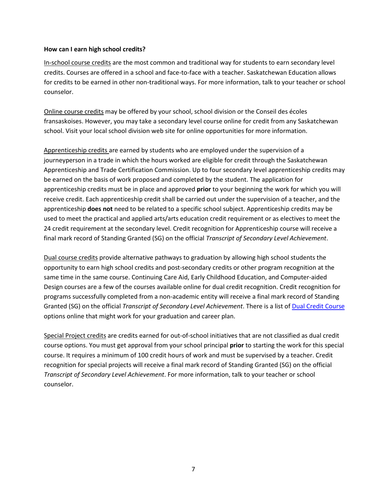#### <span id="page-6-0"></span>**How can I earn high school credits?**

In-school course credits are the most common and traditional way for students to earn secondary level credits. Courses are offered in a school and face-to-face with a teacher. Saskatchewan Education allows for credits to be earned in other non-traditional ways. For more information, talk to your teacher or school counselor.

Online course credits may be offered by your school, school division or the Conseil des écoles fransaskoises. However, you may take a secondary level course online for credit from any Saskatchewan school. Visit your local school division web site for online opportunities for more information.

Apprenticeship credits are earned by students who are employed under the supervision of a journeyperson in a trade in which the hours worked are eligible for credit through the Saskatchewan Apprenticeship and Trade Certification Commission. Up to four secondary level apprenticeship credits may be earned on the basis of work proposed and completed by the student. The application for apprenticeship credits must be in place and approved **prior** to your beginning the work for which you will receive credit. Each apprenticeship credit shall be carried out under the supervision of a teacher, and the apprenticeship **does not** need to be related to a specific school subject. Apprenticeship credits may be used to meet the practical and applied arts/arts education credit requirement or as electives to meet the 24 credit requirement at the secondary level. Credit recognition for Apprenticeship course will receive a final mark record of Standing Granted (SG) on the official *Transcript of Secondary Level Achievement*.

Dual course credits provide alternative pathways to graduation by allowing high school students the opportunity to earn high school credits and post-secondary credits or other program recognition at the same time in the same course. Continuing Care Aid, Early Childhood Education, and Computer-aided Design courses are a few of the courses available online for dual credit recognition. Credit recognition for programs successfully completed from a non-academic entity will receive a final mark record of Standing Granted (SG) on the official *Transcript of Secondary Level Achievement*. There is a list of [Dual Credit Course](http://publications.gov.sk.ca/details.cfm?p=73970) options online that might work for your graduation and career plan.

Special Project credits are credits earned for out-of-school initiatives that are not classified as dual credit course options. You must get approval from your school principal **prior** to starting the work for this special course. It requires a minimum of 100 credit hours of work and must be supervised by a teacher. Credit recognition for special projects will receive a final mark record of Standing Granted (SG) on the official *Transcript of Secondary Level Achievement*. For more information, talk to your teacher or school counselor.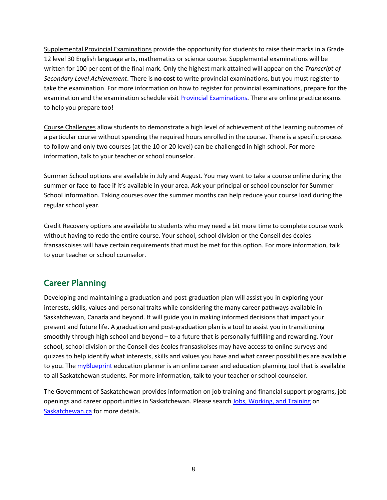Supplemental Provincial Examinations provide the opportunity for students to raise their marks in a Grade 12 level 30 English language arts, mathematics or science course. Supplemental examinations will be written for 100 per cent of the final mark. Only the highest mark attained will appear on the *Transcript of Secondary Level Achievement*. There is **no cost** to write provincial examinations, but you must register to take the examination. For more information on how to register for provincial examinations, prepare for the examination and the examination schedule visit Provincial [Examinations.](https://www.edonline.sk.ca/webapps/blackboard/content/listContent.jsp?course_id=_2869_1&content_id=_133792_1&mode=reset) [There are onli](https://www.edonline.sk.ca/webapps/blackboard/content/listContent.jsp?course_id=_2869_1&content_id=_74742_1&mode=reset)ne practice exams to help you prepare too!

Course Challenges allow students to demonstrate a high level of achievement of the learning outcomes of a particular course without spending the required hours enrolled in the course. There is a specific process to follow and only two courses (at the 10 or 20 level) can be challenged in high school. For more information, talk to your teacher or school counselor.

Summer School options are available in July and August. You may want to take a course online during the summer or face-to-face if it's available in your area. Ask your principal or school counselor for Summer School information. Taking courses over the summer months can help reduce your course load during the regular school year.

Credit Recovery options are available to students who may need a bit more time to complete course work without having to redo the entire course. Your school, school division or the Conseil des écoles fransaskoises will have certain requirements that must be met for this option. For more information, talk to your teacher or school counselor.

# <span id="page-7-0"></span>Career Planning

Developing and maintaining a graduation and post-graduation plan will assist you in exploring your interests, skills, values and personal traits while considering the many career pathways available in Saskatchewan, Canada and beyond. It will guide you in making informed decisions that impact your present and future life. A graduation and post-graduation plan is a tool to assist you in transitioning smoothly through high school and beyond – to a future that is personally fulfilling and rewarding. Your school, school division or the Conseil des écoles fransaskoises may have access to online surveys and quizzes to help identify what interests, skills and values you have and what career possibilities are available to you. Th[e myBlueprint](https://www.myblueprint.ca/) education planner is an online career and education planning tool that is available to all Saskatchewan students. For more information, talk to your teacher or school counselor.

<span id="page-7-1"></span>The Government of Saskatchewan provides information on job training and financial support programs, job openings and caree[r opportunities in Sa](http://www.saskatchewan.ca/)skatchewan. Please searc[h Jobs, Working, and Training](http://www.saskatchewan.ca/residents/jobs-working-and-training) on [Saskatchewan.ca](http://www.saskatchewan.ca/) for more details.